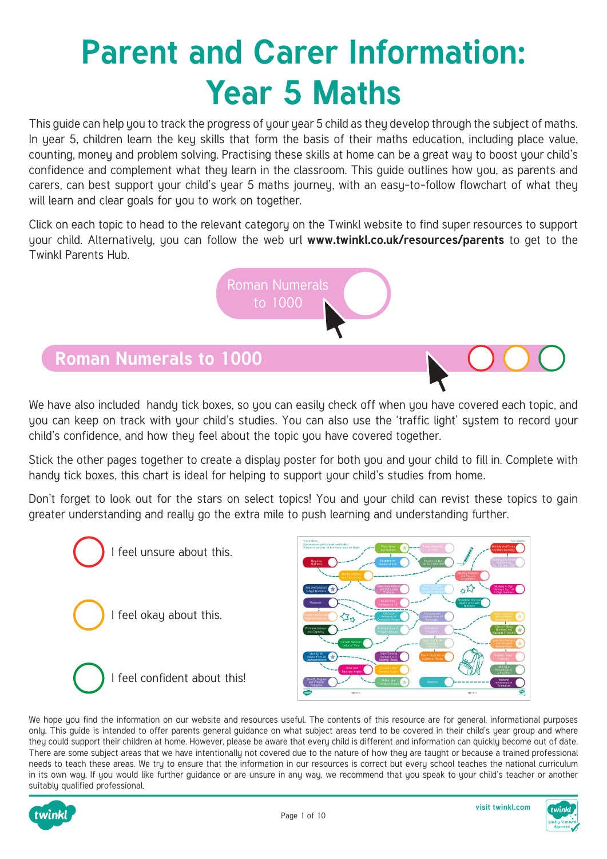# **Parent and Carer Information: Year 5 Maths**

This guide can help you to track the progress of your year 5 child as they develop through the subject of maths. In year 5, children learn the key skills that form the basis of their maths education, including place value, counting, money and problem solving. Practising these skills at home can be a great way to boost your child's confidence and complement what they learn in the classroom. This guide outlines how you, as parents and carers, can best support your child's year 5 maths journey, with an easy-to-follow flowchart of what they will learn and clear goals for you to work on together.

Click on each topic to head to the relevant category on the Twinkl website to find super resources to support your child. Alternatively, you can follow the web url **[www.twinkl.co.uk/resources/parents](https://www.twinkl.co.uk/resources/parents)** to get to the Twinkl Parents Hub.



We have also included handy tick boxes, so you can easily check off when you have covered each topic, and uou can keep on track with your child's studies. You can also use the 'traffic light' sustem to record your child's confidence, and how they feel about the topic you have covered together.

Stick the other pages together to create a display poster for both you and your child to fill in. Complete with handy tick boxes, this chart is ideal for helping to support your child's studies from home.

Don't forget to look out for the stars on select topics! You and your child can revist these topics to gain greater understanding and really go the extra mile to push learning and understanding further.





We hope you find the information on our website and resources useful. The contents of this resource are for general, informational purposes only. This guide is intended to offer parents general guidance on what subject areas tend to be covered in their child's year group and where they could support their children at home. However, please be aware that every child is different and information can quickly become out of date. There are some subject areas that we have intentionally not covered due to the nature of how they are taught or because a trained professional needs to teach these areas. We try to ensure that the information in our resources is correct but every school teaches the national curriculum in its own way. If you would like further guidance or are unsure in any way, we recommend that you speak to your child's teacher or another suitably qualified professional.

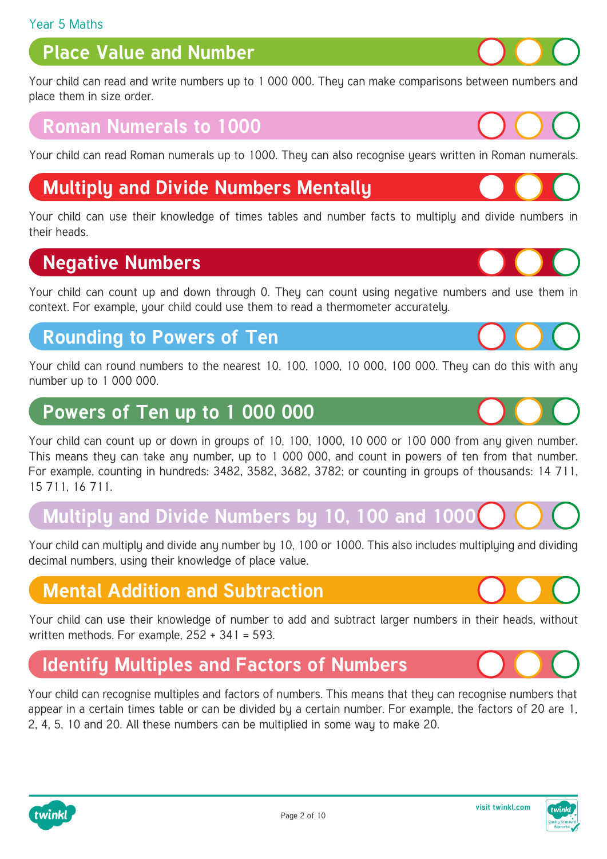### **Place Value and Number**

[Your child can read and write numbers up to 1 000 000. They can make comparisons between numbers and](https://www.twinkl.co.uk/resources/maths-school-years-parents/number-and-place-value-maths-main-subjects-parents/year-5-ages-9-10-number-and-place-value-maths-main-subjects-parents)  place them in size order.

### **Roman Numerals to 1000**

[Your child can read Roman numerals up to 1000. They can also recognise years written in Roman numerals.](https://www.twinkl.co.uk/resources/age-specific-resources-parents/maths-school-years-parents/roman-numerals-maths-main-subjects-parents)

### **Multiply and Divide Numbers Mentally**

[Your child can use their knowledge of times tables and number facts to multiply and divide numbers in](https://www.twinkl.co.uk/resources/maths-school-years-parents/multiplication-and-division-maths-main-subjects-parents/year-5-ages-9-10-multiplication-and-division-maths-main-subjects-parents)  their heads.

### **Negative Numbers**

[Your child can count up and down through 0. They can count using negative numbers and use them in](https://www.twinkl.co.uk/resources/maths-school-years-parents/negative-numbers-maths-main-subjects-parents/negative-numbers-year-5-ages-9-10-maths-main-subjects-parents)  context. For example, your child could use them to read a thermometer accurately.

### **Rounding to Powers of Ten**

Your child can round numbers to the nearest 10, 100, 1000, 10 000, 100 000. They can do this with any number up to 1 000 000.

### **Powers of Ten up to 1 000 000**

[Your child can count up or down in groups of 10, 100, 1000, 10 000 or 100 000 from any given number.](https://www.twinkl.co.uk/resource/t2-m-41496-year-5-counting-in-powers-of-10-place-value-maths-mastery-game)  This means they can take any number, up to 1 000 000, and count in powers of ten from that number. For example, counting in hundreds: 3482, 3582, 3682, 3782; or counting in groups of thousands: 14 711, 15 711, 16 711.

### **[Multiply and Divide Numbers by 10, 100 and 1000](https://www.twinkl.co.uk/resources/maths-school-years-parents/multiplication-and-division-maths-main-subjects-parents/year-5-ages-9-10-multiplication-and-division-maths-main-subjects-parents)**

Your child can multiply and divide any number by 10, 100 or 1000. This also includes multiplying and dividing decimal numbers, using their knowledge of place value.

### **Mental Addition and Subtraction**

[Your child can use their knowledge of number to add and subtract larger numbers in their heads, without](https://www.twinkl.co.uk/resources/maths-school-years-parents/addition-and-subtraction-maths-main-subjects-parents/addition-and-subtraction-year-5-ages-9-10-parents)  written methods. For example, 252 + 341 = 593.

### **[Identify Multiples and Factors of Numbers](https://www.twinkl.co.uk/resource/cfe2-m-88-find-the-factors-activity-sheet)**

Your child can recognise multiples and factors of numbers. This means that they can recognise numbers that appear in a certain times table or can be divided by a certain number. For example, the factors of 20 are 1, 2, 4, 5, 10 and 20. All these numbers can be multiplied in some way to make 20.









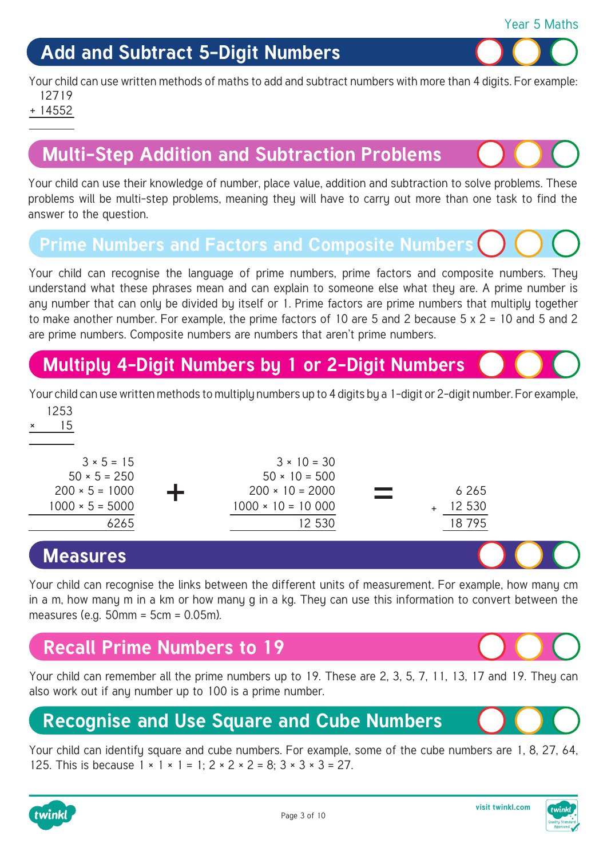### **Add and Subtract 5-Digit Numbers**

[Your child can use written methods of maths to add and subtract numbers with more than 4 digits. For example:](https://www.twinkl.co.uk/resources/maths-school-years-parents/addition-and-subtraction-maths-main-subjects-parents/addition-and-subtraction-year-5-ages-9-10-parents)  12719

+ 14552

### **[Multi-Step Addition and Subtraction Problems](https://www.twinkl.co.uk/resource/tp2-m-41280-multi-step-word-problems-activity-sheet)**

Your child can use their knowledge of number, place value, addition and subtraction to solve problems. These problems will be multi-step problems, meaning they will have to carry out more than one task to find the answer to the question.

### **[Prime Numbers and Factors and Composite Numbers](https://www.twinkl.co.uk/resources/maths-school-years-parents/prime-numbers-maths-main-subjects-parents/prime-numbers-year-5-ages-9-10-maths-main-subjects-parents)**

Your child can recognise the language of prime numbers, prime factors and composite numbers. They understand what these phrases mean and can explain to someone else what they are. A prime number is any number that can only be divided by itself or 1. Prime factors are prime numbers that multiply together to make another number. For example, the prime factors of 10 are 5 and 2 because 5 x 2 = 10 and 5 and 2 are prime numbers. Composite numbers are numbers that aren't prime numbers.

### **[Multiply 4-Digit Numbers by 1 or 2-Digit Numbers](https://www.twinkl.co.uk/resources/maths-school-years-parents/multiplication-and-division-maths-main-subjects-parents/year-5-ages-9-10-multiplication-and-division-maths-main-subjects-parents)**

Your child can use written methods to multiply numbers up to 4 digits by a 1-digit or 2-digit number. For example, 1253

× 15

| $3 \times 5 = 15$     |  |
|-----------------------|--|
| $50 \times 5 = 250$   |  |
| $200 \times 5 = 1000$ |  |
| $1000 * 5 = 5000$     |  |
| 6265                  |  |

| $3 \times 10 = 30$       |   | $= 15$  |
|--------------------------|---|---------|
| $50 \times 10 = 500$     |   | $= 250$ |
| $200 \times 10 = 2000$   | ╈ | 1000    |
| $1000 \times 10 = 10000$ |   | 5000    |
| 12 530                   |   | 6265    |
|                          |   |         |

### **Measures**

[Your child can recognise the links between the different units of measurement. For example, how many cm](https://www.twinkl.co.uk/resources/maths-school-years-parents/measurement-dimensions-mass-capacity-maths-main-subjects-parents/measurement-dimensions-mass-and-capacity-year-5-ages-9-10-maths-main-subjects-parents)  in a m, how many m in a km or how many g in a kg. They can use this information to convert between the measures (e.g. 50mm = 5cm = 0.05m).

### **Recall Prime Numbers to 19**

[Your child can remember all the prime numbers up to 19. These are 2, 3, 5, 7, 11, 13, 17 and 19. They can](https://www.twinkl.co.uk/resource/t2-m-2448-recalling-prime-numbers-0-19-activity-sheet)  also work out if any number up to 100 is a prime number.

### **[Recognise and Use Square and Cube Numbers](https://www.twinkl.co.uk/resource/t2-m-2453-using-and-recognising-square-and-cube-numbers-activity-sheet)**

Your child can identify square and cube numbers. For example, some of the cube numbers are 1, 8, 27, 64, 125. This is because  $1 \times 1 \times 1 = 1$ ;  $2 \times 2 \times 2 = 8$ ;  $3 \times 3 \times 3 = 27$ .



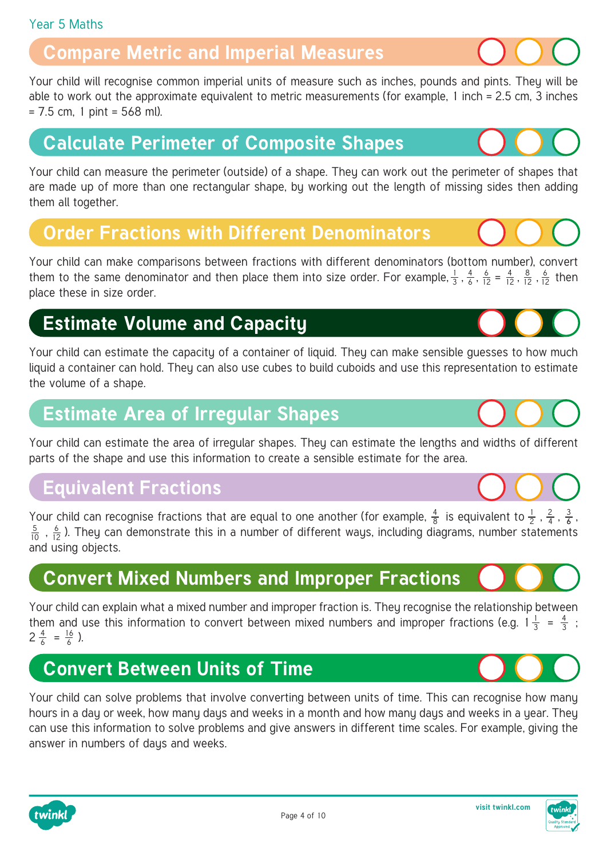### **Compare Metric and Imperial Measures**

[Your child will recognise common imperial units of measure such as inches, pounds and pints. They will be](https://www.twinkl.co.uk/resource/t2-m-41342-year-5-convert-metric-and-imperial-measures-activity-sheets)  able to work out the approximate equivalent to metric measurements (for example, 1 inch = 2.5 cm, 3 inches  $= 7.5$  cm, 1 pint  $= 568$  ml).

### **[Calculate Perimeter of Composite Shapes](https://www.twinkl.co.uk/resources/maths-school-years-parents/area-and-perimeter-maths-main-subjects-parents/area-and-perimeter-year-5-ages-9-10-maths-main-subjects-parents)**

Your child can measure the perimeter (outside) of a shape. They can work out the perimeter of shapes that are made up of more than one rectangular shape, by working out the length of missing sides then adding them all together.

### **[Order Fractions with Different Denominators](https://www.twinkl.co.uk/resources/maths-school-years-parents/fractions-maths-main-subjects-parents/fractions-year-5-ages-9-10-fractions-maths-main-subjects-parents)**

Your child can make comparisons between fractions with different denominators (bottom number), convert them to the same denominator and then place them into size order. For example,  $\frac{1}{3}$ ,  $\frac{4}{6}$ ,  $\frac{6}{12}$  =  $\frac{4}{12}$ ,  $\frac{8}{12}$ ,  $\frac{6}{12}$  then place these in size order. 3 4 6 6 12 4 12 8 12 6 12

### **Estimate Volume and Capacity**

Your child can estimate the capacitu of a container of liquid. They can make sensible quesses to how much liquid a container can hold. They can also use cubes to build cuboids and use this representation to estimate the volume of a shape.

### **Estimate Area of Irregular Shapes**

[Your child can estimate the area of irregular shapes. They can estimate the lengths and widths of different](https://www.twinkl.co.uk/resources/maths-school-years-parents/area-and-perimeter-maths-main-subjects-parents/area-and-perimeter-year-5-ages-9-10-maths-main-subjects-parents)  parts of the shape and use this information to create a sensible estimate for the area.

### **Equivalent Fractions**

Your child can recognise fractions that are equal to one another (for example,  $\frac{4}{8}$  is equivalent to  $\frac{1}{2}$ ,  $\frac{2}{4}$ ,  $\frac{3}{6}$ ,  $\frac{5}{10}$ ,  $\frac{6}{12}$ ). They can demonstrate this in a number of different ways, including diagrams, number statements and using objects. 4 8 1 2 2 4 3 Four critic carried grips machines that are equal to one another (for example,  $\frac{1}{8}$  is equivalent to  $\frac{1}{2}$ ,  $\frac{1}{4}$ ,  $\frac{1}{6}$ ). Then can demonstrate this in a number of different wave including diagrams, numbe 10 6 12

### **[Convert Mixed Numbers and Improper Fractions](https://www.twinkl.co.uk/resources/maths-school-years-parents/fractions-maths-main-subjects-parents/fractions-year-5-ages-9-10-fractions-maths-main-subjects-parents)**

Your child can explain what a mixed number and improper fraction is. They recognise the relationship between them and use this information to convert between mixed numbers and improper fractions (e.g.  $1\frac{1}{3} = \frac{4}{3}$ ;  $2\frac{4}{6} = \frac{16}{6}$ ). 3 6 16 6 4 3

### **Convert Between Units of Time**

Your child can solve problems that involve converting between units of time. This can recognise how many hours in a day or week, how many days and weeks in a month and how many days and weeks in a year. They can use this information to solve problems and give answers in different time scales. For example, giving the answer in numbers of daus and weeks.





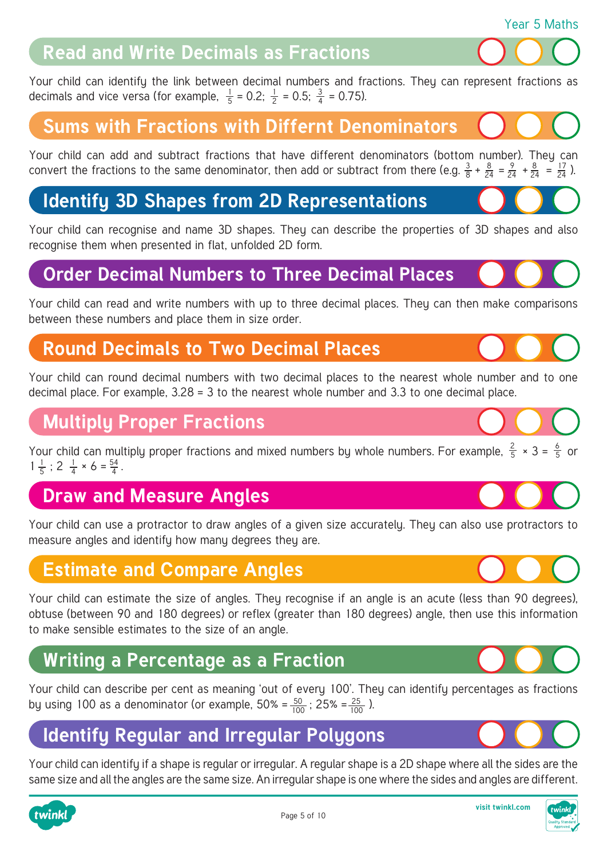Year 5 Maths

### **Read and Write Decimals as Fractions**

[Your child can identify the link between decimal numbers and fractions. They can represent fractions as](https://www.twinkl.co.uk/resources/maths-school-years-parents/decimals-maths-main-subjects-parents/decimals-year-5-ages-9-10-maths-main-subjects-parents)  decimals and vice versa (for example,  $\frac{1}{5}$  = 0.2;  $\frac{1}{2}$  = 0.5;  $\frac{3}{4}$  = 0.75). 5 1 2 3 4

### **[Sums with Fractions with Differnt Denominators](https://www.twinkl.co.uk/resources/maths-school-years-parents/fractions-maths-main-subjects-parents/fractions-year-5-ages-9-10-fractions-maths-main-subjects-parents)**

Your child can add and subtract fractions that have different denominators (bottom number). They can convert the fractions to the same denominator, then add or subtract from there (e.g.  $\frac{3}{8} + \frac{8}{24} = \frac{9}{24} + \frac{8}{24} = \frac{17}{24}$  ). 8 9 24 8 24 17 24 8 24

### **[Identify 3D Shapes from 2D Representations](https://www.twinkl.co.uk/resources/age-specific-resources-parents/maths-school-years-parents/3d-shapes-maths-main-subjects-parents)**

Your child can recognise and name 3D shapes. They can describe the properties of 3D shapes and also recognise them when presented in flat, unfolded 2D form.

### **[Order Decimal Numbers to Three Decimal Places](https://www.twinkl.co.uk/resources/maths-school-years-parents/decimals-maths-main-subjects-parents/decimals-year-5-ages-9-10-maths-main-subjects-parents)**

Your child can read and write numbers with up to three decimal places. They can then make comparisons between these numbers and place them in size order.

### **Round Decimals to Two Decimal Places**

[Your child can round decimal numbers with two decimal places to the nearest whole number and to one](https://www.twinkl.co.uk/resources/maths-school-years-parents/decimals-maths-main-subjects-parents/decimals-year-5-ages-9-10-maths-main-subjects-parents)  decimal place. For example, 3.28 = 3 to the nearest whole number and 3.3 to one decimal place.

### **Multiply Proper Fractions**

Your child can multiply proper fractions and mixed numbers by whole numbers. For example,  $\frac{2}{5} \times 3 = \frac{6}{5}$  or  $1\frac{1}{5}$ ; 2  $\frac{1}{4}$  × 6 =  $\frac{54}{4}$ . 5 6 5 5 1 4 54 4

### **Draw and Measure Angles**

[Your child can use a protractor to draw angles of a given size accurately. They can also use protractors to](https://www.twinkl.co.uk/resources/maths-school-years-parents/angles-coordinates-maths-main-subjects-parents/angles-and-coordinates-year-5-ages-9-10-maths-main-subjects-parents)  measure angles and identify how many degrees they are.

### **Estimate and Compare Angles**

[Your child can estimate the size of angles. They recognise if an angle is an acute \(less than 90 degrees\),](https://www.twinkl.co.uk/resources/maths-school-years-parents/angles-coordinates-maths-main-subjects-parents/angles-and-coordinates-year-5-ages-9-10-maths-main-subjects-parents)  obtuse (between 90 and 180 degrees) or reflex (greater than 180 degrees) angle, then use this information to make sensible estimates to the size of an angle.

### **Writing a Percentage as a Fraction**

[Your child can describe per cent as meaning 'out of every 100'. They can identify percentages as fractions](https://www.twinkl.co.uk/resources/maths-school-years-parents/fractions-maths-main-subjects-parents/fractions-year-5-ages-9-10-fractions-maths-main-subjects-parents)  by using 100 as a denominator (or example,  $50\% = \frac{50}{100}$ ; 25% =  $\frac{25}{100}$ ). 100 50 100

### **Identify Regular and Irregular Polygons**

[Your child can identify if a shape is regular or irregular. A regular shape is a 2D shape where all the sides are the](https://www.twinkl.co.uk/resources/age-specific-resources-parents/maths-school-years-parents/2d-shapes-maths-main-subjects-parents)  same size and all the angles are the same size. An irregular shape is one where the sides and angles are different.



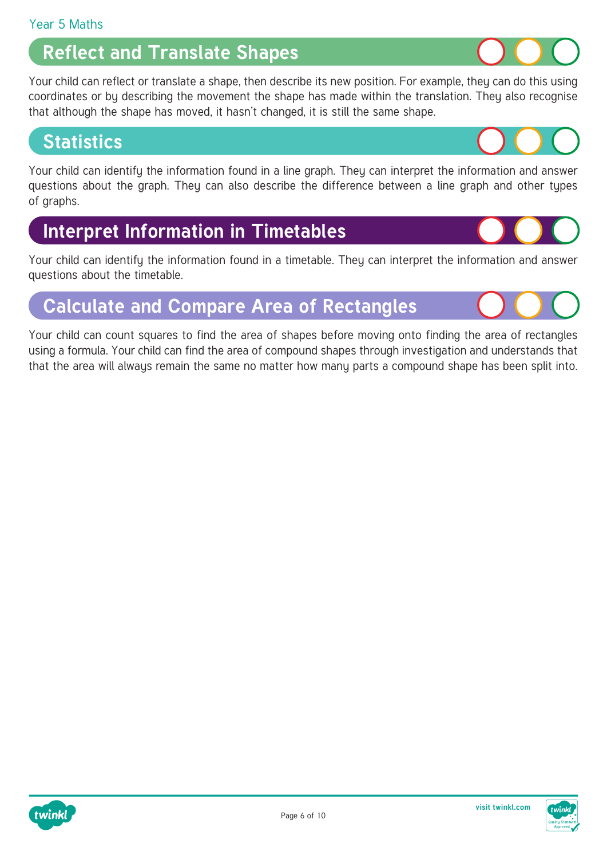[Your child can identify the information found in a line graph. They can interpret the information and answer](https://www.twinkl.co.uk/resources/maths-school-years-parents/statistics-and-data-handling-maths-main-subjects-parents/statistics-and-data-handling-year-5-ages-9-10-maths-main-subjects-parents)  questions about the graph. They can also describe the difference between a line graph and other types of graphs.

### **Interpret Information in Timetables**

[Your child can identify the information found in a timetable. They can interpret the information and answer](https://www.twinkl.co.uk/resource/t2-m-5841-lks2-train-timetable-compare-durations-of-events-differentiated-challenge-card-activity)  questions about the timetable.

**Calculate and Compare Area of Rectangles**

Your child can count squares to find the area of shapes before moving onto finding the area of rectangles using a formula. Your child can find the area of compound shapes through investigation and understands that that the area will always remain the same no matter how many parts a compound shape has been split into.

twinkl



### Year 5 Maths

# **Reflect and Translate Shapes**

[Your child can reflect or translate a shape, then describe its new position. For example, they can do this using](https://www.twinkl.co.uk/resources/maths-school-years-parents/translation-rotation-and-reflection-maths-main-subjects-parents/year-5-ages-9-10-translation-rotation-and-reflection-maths-main-subjects-parents)  coordinates or by describing the movement the shape has made within the translation. They also recognise that although the shape has moved, it hasn't changed, it is still the same shape.





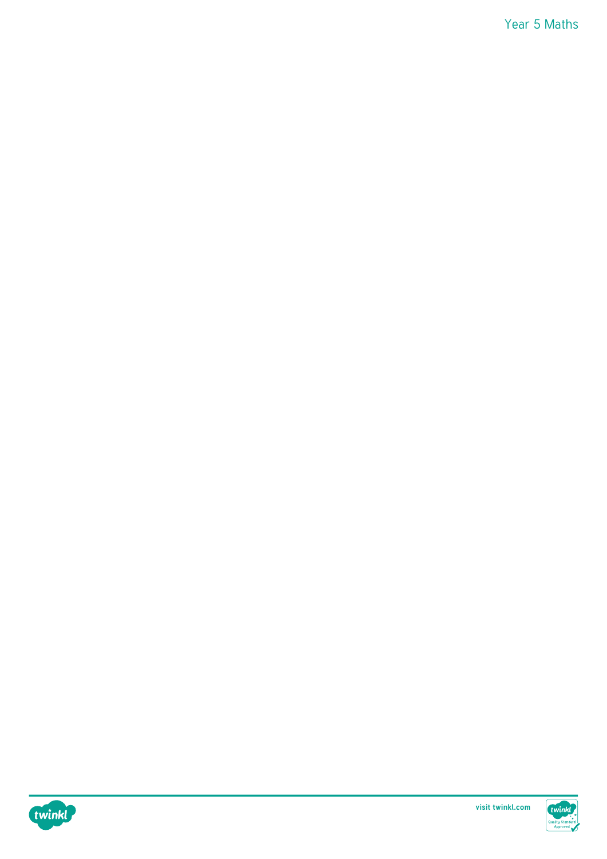Year 5 Maths





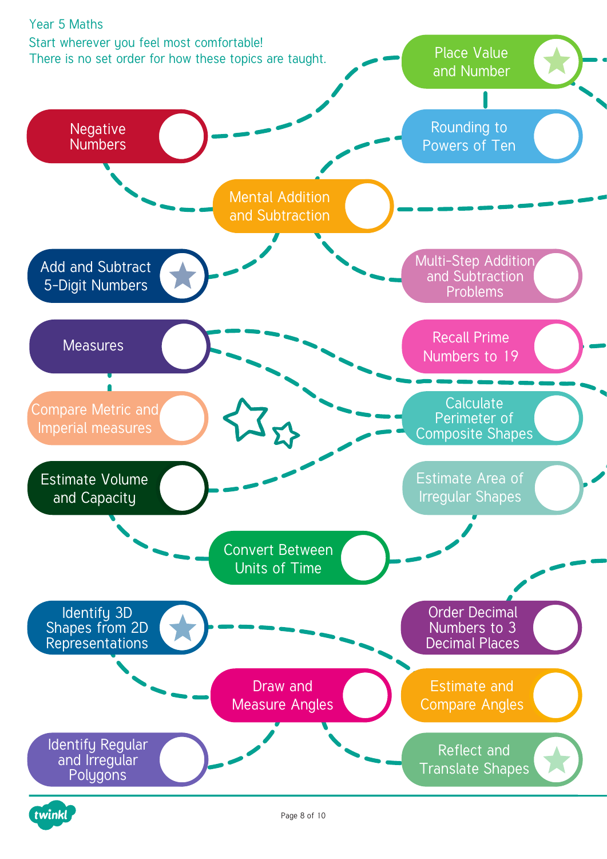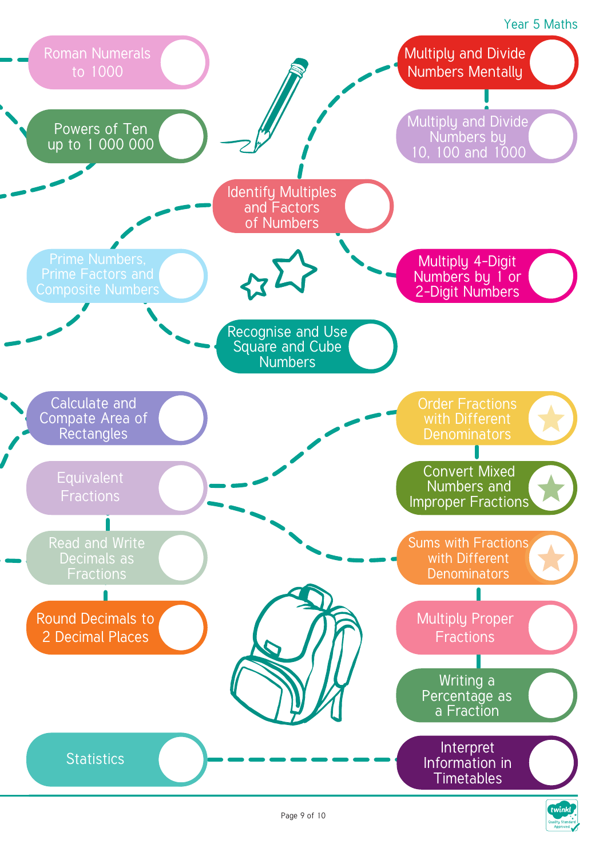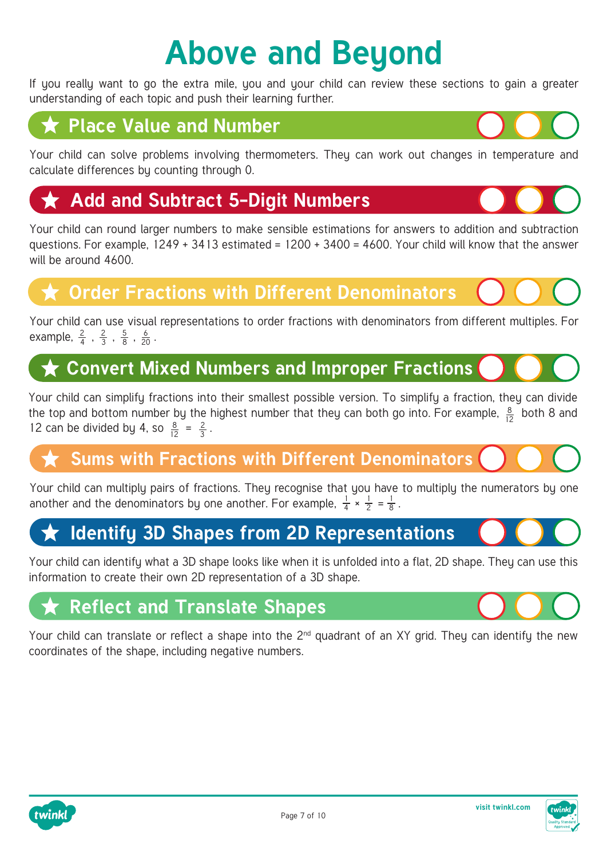## **Above and Beyond**

If you really want to go the extra mile, you and your child can review these sections to gain a greater understanding of each topic and push their learning further.

### **Place Value and Number**

[Your child can solve problems involving thermometers. They can work out changes in temperature and](https://www.twinkl.co.uk/resources/maths-school-years-parents/number-and-place-value-maths-main-subjects-parents/year-5-ages-9-10-number-and-place-value-maths-main-subjects-parents)  calculate differences by counting through 0.

### **Add and Subtract 5-Digit Numbers**

[Your child can round larger numbers to make sensible estimations for answers to addition and subtraction](https://www.twinkl.co.uk/resources/maths-school-years-parents/addition-and-subtraction-maths-main-subjects-parents/addition-and-subtraction-year-5-ages-9-10-parents)  questions. For example,  $1249 + 3413$  estimated =  $1200 + 3400 = 4600$ . Your child will know that the answer will be around 4600.

### **[Order Fractions with Different Denominators](https://www.twinkl.co.uk/resources/maths-school-years-parents/fractions-maths-main-subjects-parents/fractions-year-5-ages-9-10-fractions-maths-main-subjects-parents)**

Your child can use visual representations to order fractions with denominators from different multiples. For example,  $\frac{2}{4}$ ,  $\frac{2}{3}$ ,  $\frac{5}{8}$ ,  $\frac{6}{20}$ . 4 2 3 5 8 6 20

### **[Convert Mixed Numbers and Improper Fractions](https://www.twinkl.co.uk/resources/maths-school-years-parents/fractions-maths-main-subjects-parents/fractions-year-5-ages-9-10-fractions-maths-main-subjects-parents)**

Your child can simplify fractions into their smallest possible version. To simplify a fraction, they can divide the top and bottom number by the highest number that they can both go into. For example,  $\frac{8}{12}$  both 8 and 12 can be divided by 4, so  $\frac{8}{12} = \frac{2}{3}$ . 12 12 2 3

### **[Sums with Fractions with Different Denominators](https://www.twinkl.co.uk/resources/maths-school-years-parents/fractions-maths-main-subjects-parents/fractions-year-5-ages-9-10-fractions-maths-main-subjects-parents)**

Your child can multiply pairs of fractions. They recognise that you have to multiply the numerators by one another and the denominators by one another. For example,  $\frac{1}{4} \times \frac{1}{2} = \frac{1}{8}$ . 4 1 2 1 8

### **[Identify 3D Shapes from 2D Representations](https://www.twinkl.co.uk/resources/age-specific-resources-parents/maths-school-years-parents/3d-shapes-maths-main-subjects-parents)**

Your child can identify what a 3D shape looks like when it is unfolded into a flat, 2D shape. They can use this information to create their own 2D representation of a 3D shape.

### **Reflect and Translate Shapes**

Your child can translate or reflect a shape into the 2<sup>nd</sup> quadrant of an XY grid. They can identify the new coordinates of the shape, including negative numbers.